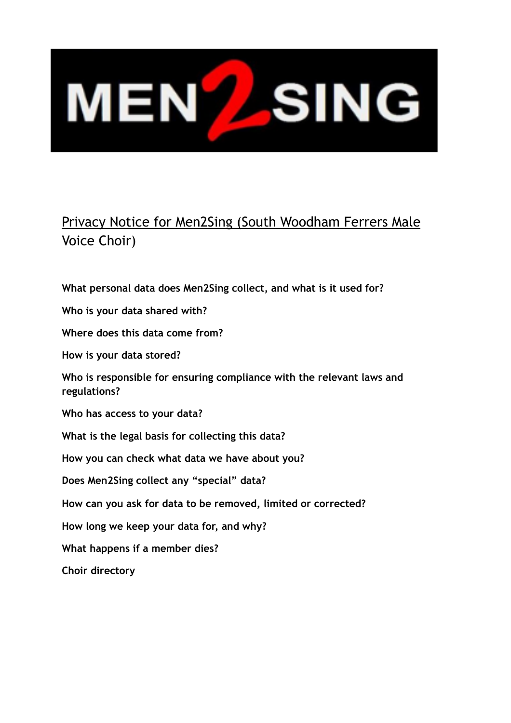# **MENZSING**

# Privacy Notice for Men2Sing (South Woodham Ferrers Male Voice Choir)

**What personal data does Men2Sing collect, and what is it used for? Who is your data shared with? Where does this data come from? How is your data stored? Who is responsible for ensuring compliance with the relevant laws and regulations? Who has access to your data? What is the legal basis for collecting this data? How you can check what data we have about you? Does Men2Sing collect any "special" data? How can you ask for data to be removed, limited or corrected? How long we keep your data for, and why? What happens if a member dies? Choir directory**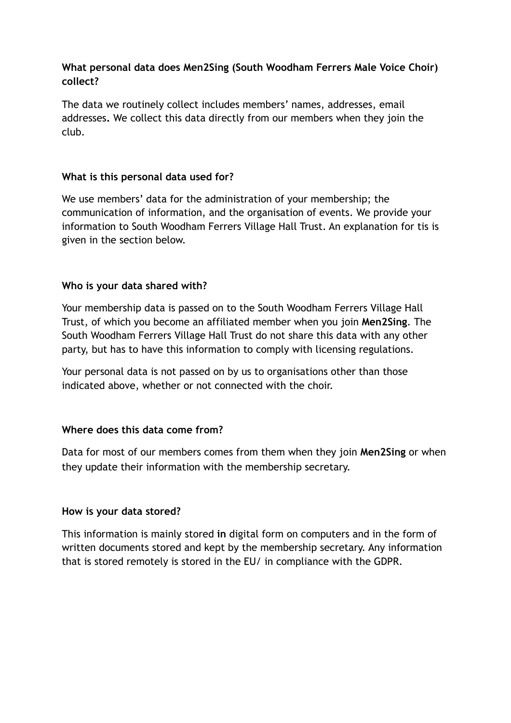#### **What personal data does Men2Sing (South Woodham Ferrers Male Voice Choir) collect?**

The data we routinely collect includes members' names, addresses, email addresses**.** We collect this data directly from our members when they join the club.

#### **What is this personal data used for?**

We use members' data for the administration of your membership; the communication of information, and the organisation of events. We provide your information to South Woodham Ferrers Village Hall Trust. An explanation for tis is given in the section below.

#### **Who is your data shared with?**

Your membership data is passed on to the South Woodham Ferrers Village Hall Trust, of which you become an affiliated member when you join **Men2Sing**. The South Woodham Ferrers Village Hall Trust do not share this data with any other party, but has to have this information to comply with licensing regulations.

Your personal data is not passed on by us to organisations other than those indicated above, whether or not connected with the choir.

## **Where does this data come from?**

Data for most of our members comes from them when they join **Men2Sing** or when they update their information with the membership secretary.

#### **How is your data stored?**

This information is mainly stored **in** digital form on computers and in the form of written documents stored and kept by the membership secretary. Any information that is stored remotely is stored in the EU/ in compliance with the GDPR.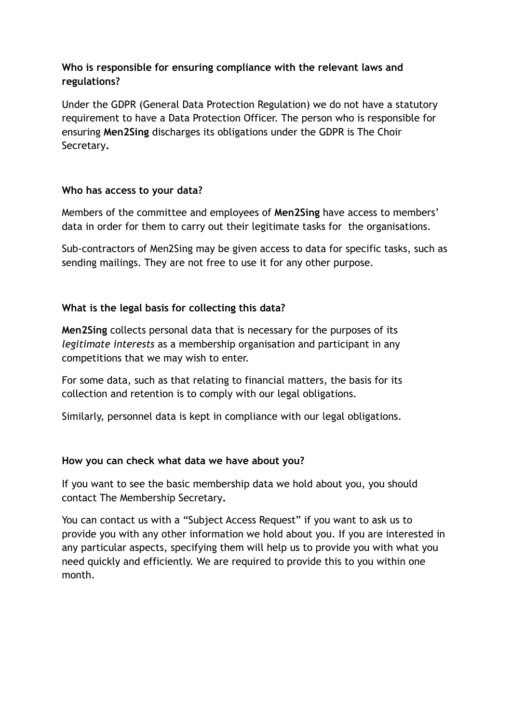#### **Who is responsible for ensuring compliance with the relevant laws and regulations?**

Under the GDPR (General Data Protection Regulation) we do not have a [statutory](https://ico.org.uk/for-organisations/guide-to-the-general-data-protection-regulation-gdpr/accountability-and-governance/data-protection-officers/)  [requirement to have a Data Protection Officer.](https://ico.org.uk/for-organisations/guide-to-the-general-data-protection-regulation-gdpr/accountability-and-governance/data-protection-officers/) The person who is responsible for ensuring **Men2Sing** discharges its obligations under the GDPR is The Choir Secretary**.** 

#### **Who has access to your data?**

Members of the committee and employees of **Men2Sing** have access to members' data in order for them to carry out their legitimate tasks for the organisations.

Sub-contractors of Men2Sing may be given access to data for specific tasks, such as sending mailings. They are not free to use it for any other purpose.

### **What is the legal basis for collecting this data?**

**Men2Sing** collects personal data that is necessary for the purposes of its *legitimate interests* as a membership organisation and participant in any competitions that we may wish to enter.

For some data, such as that relating to financial matters, the basis for its collection and retention is to comply with our legal obligations.

Similarly, personnel data is kept in compliance with our legal obligations.

#### **How you can check what data we have about you?**

If you want to see the basic membership data we hold about you, you should contact The Membership Secretary**.**

You can contact us with a ["Subject Access Request](https://ico.org.uk/for-the-public/personal-information/)" if you want to ask us to provide you with any other information we hold about you. If you are interested in any particular aspects, specifying them will help us to provide you with what you need quickly and efficiently. We are required to provide this to you within one month.